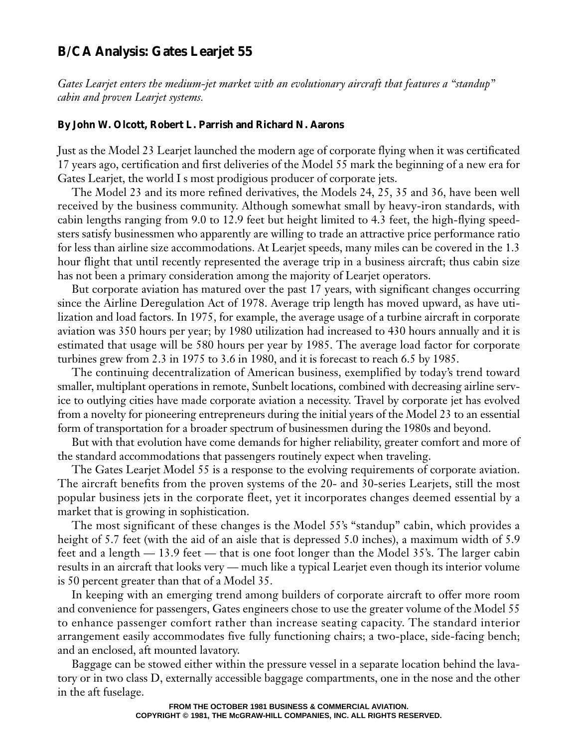# **B/CA Analysis: Gates Learjet 55**

*Gates Learjet enters the medium-jet market with an evolutionary aircraft that features a "standup" cabin and proven Learjet systems.*

#### **By John W. Olcott, Robert L. Parrish and Richard N. Aarons**

Just as the Model 23 Learjet launched the modern age of corporate flying when it was certificated 17 years ago, certification and first deliveries of the Model 55 mark the beginning of a new era for Gates Learjet, the world I s most prodigious producer of corporate jets.

The Model 23 and its more refined derivatives, the Models 24, 25, 35 and 36, have been well received by the business community. Although somewhat small by heavy-iron standards, with cabin lengths ranging from 9.0 to 12.9 feet but height limited to 4.3 feet, the high-flying speedsters satisfy businessmen who apparently are willing to trade an attractive price performance ratio for less than airline size accommodations. At Learjet speeds, many miles can be covered in the 1.3 hour flight that until recently represented the average trip in a business aircraft; thus cabin size has not been a primary consideration among the majority of Learjet operators.

But corporate aviation has matured over the past 17 years, with significant changes occurring since the Airline Deregulation Act of 1978. Average trip length has moved upward, as have utilization and load factors. In 1975, for example, the average usage of a turbine aircraft in corporate aviation was 350 hours per year; by 1980 utilization had increased to 430 hours annually and it is estimated that usage will be 580 hours per year by 1985. The average load factor for corporate turbines grew from 2.3 in 1975 to 3.6 in 1980, and it is forecast to reach 6.5 by 1985.

The continuing decentralization of American business, exemplified by today's trend toward smaller, multiplant operations in remote, Sunbelt locations, combined with decreasing airline service to outlying cities have made corporate aviation a necessity. Travel by corporate jet has evolved from a novelty for pioneering entrepreneurs during the initial years of the Model 23 to an essential form of transportation for a broader spectrum of businessmen during the 1980s and beyond.

But with that evolution have come demands for higher reliability, greater comfort and more of the standard accommodations that passengers routinely expect when traveling.

The Gates Learjet Model 55 is a response to the evolving requirements of corporate aviation. The aircraft benefits from the proven systems of the 20- and 30-series Learjets, still the most popular business jets in the corporate fleet, yet it incorporates changes deemed essential by a market that is growing in sophistication.

The most significant of these changes is the Model 55's "standup" cabin, which provides a height of 5.7 feet (with the aid of an aisle that is depressed 5.0 inches), a maximum width of 5.9 feet and a length — 13.9 feet — that is one foot longer than the Model 35's. The larger cabin results in an aircraft that looks very — much like a typical Learjet even though its interior volume is 50 percent greater than that of a Model 35.

In keeping with an emerging trend among builders of corporate aircraft to offer more room and convenience for passengers, Gates engineers chose to use the greater volume of the Model 55 to enhance passenger comfort rather than increase seating capacity. The standard interior arrangement easily accommodates five fully functioning chairs; a two-place, side-facing bench; and an enclosed, aft mounted lavatory.

Baggage can be stowed either within the pressure vessel in a separate location behind the lavatory or in two class D, externally accessible baggage compartments, one in the nose and the other in the aft fuselage.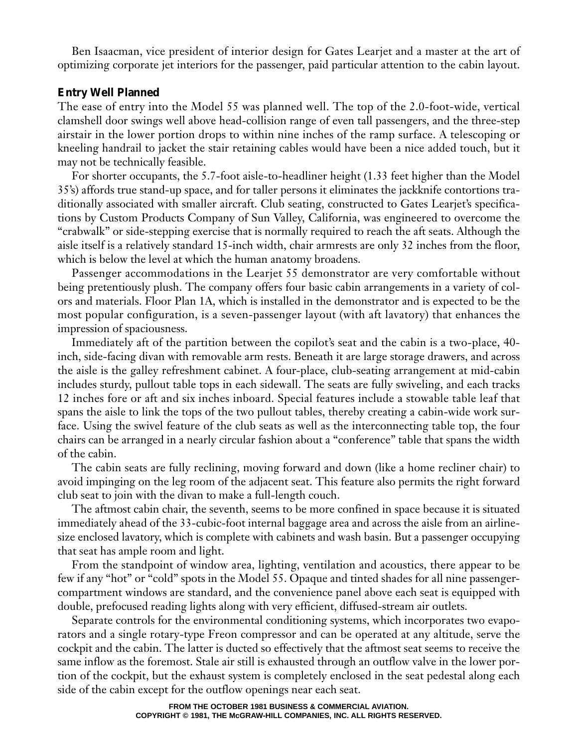Ben Isaacman, vice president of interior design for Gates Learjet and a master at the art of optimizing corporate jet interiors for the passenger, paid particular attention to the cabin layout.

# **Entry Well Planned**

The ease of entry into the Model 55 was planned well. The top of the 2.0-foot-wide, vertical clamshell door swings well above head-collision range of even tall passengers, and the three-step airstair in the lower portion drops to within nine inches of the ramp surface. A telescoping or kneeling handrail to jacket the stair retaining cables would have been a nice added touch, but it may not be technically feasible.

For shorter occupants, the 5.7-foot aisle-to-headliner height (1.33 feet higher than the Model 35's) affords true stand-up space, and for taller persons it eliminates the jackknife contortions traditionally associated with smaller aircraft. Club seating, constructed to Gates Learjet's specifications by Custom Products Company of Sun Valley, California, was engineered to overcome the "crabwalk" or side-stepping exercise that is normally required to reach the aft seats. Although the aisle itself is a relatively standard 15-inch width, chair armrests are only 32 inches from the floor, which is below the level at which the human anatomy broadens.

Passenger accommodations in the Learjet 55 demonstrator are very comfortable without being pretentiously plush. The company offers four basic cabin arrangements in a variety of colors and materials. Floor Plan 1A, which is installed in the demonstrator and is expected to be the most popular configuration, is a seven-passenger layout (with aft lavatory) that enhances the impression of spaciousness.

Immediately aft of the partition between the copilot's seat and the cabin is a two-place, 40 inch, side-facing divan with removable arm rests. Beneath it are large storage drawers, and across the aisle is the galley refreshment cabinet. A four-place, club-seating arrangement at mid-cabin includes sturdy, pullout table tops in each sidewall. The seats are fully swiveling, and each tracks 12 inches fore or aft and six inches inboard. Special features include a stowable table leaf that spans the aisle to link the tops of the two pullout tables, thereby creating a cabin-wide work surface. Using the swivel feature of the club seats as well as the interconnecting table top, the four chairs can be arranged in a nearly circular fashion about a "conference" table that spans the width of the cabin.

The cabin seats are fully reclining, moving forward and down (like a home recliner chair) to avoid impinging on the leg room of the adjacent seat. This feature also permits the right forward club seat to join with the divan to make a full-length couch.

The aftmost cabin chair, the seventh, seems to be more confined in space because it is situated immediately ahead of the 33-cubic-foot internal baggage area and across the aisle from an airlinesize enclosed lavatory, which is complete with cabinets and wash basin. But a passenger occupying that seat has ample room and light.

From the standpoint of window area, lighting, ventilation and acoustics, there appear to be few if any "hot" or "cold" spots in the Model 55. Opaque and tinted shades for all nine passengercompartment windows are standard, and the convenience panel above each seat is equipped with double, prefocused reading lights along with very efficient, diffused-stream air outlets.

Separate controls for the environmental conditioning systems, which incorporates two evaporators and a single rotary-type Freon compressor and can be operated at any altitude, serve the cockpit and the cabin. The latter is ducted so effectively that the aftmost seat seems to receive the same inflow as the foremost. Stale air still is exhausted through an outflow valve in the lower portion of the cockpit, but the exhaust system is completely enclosed in the seat pedestal along each side of the cabin except for the outflow openings near each seat.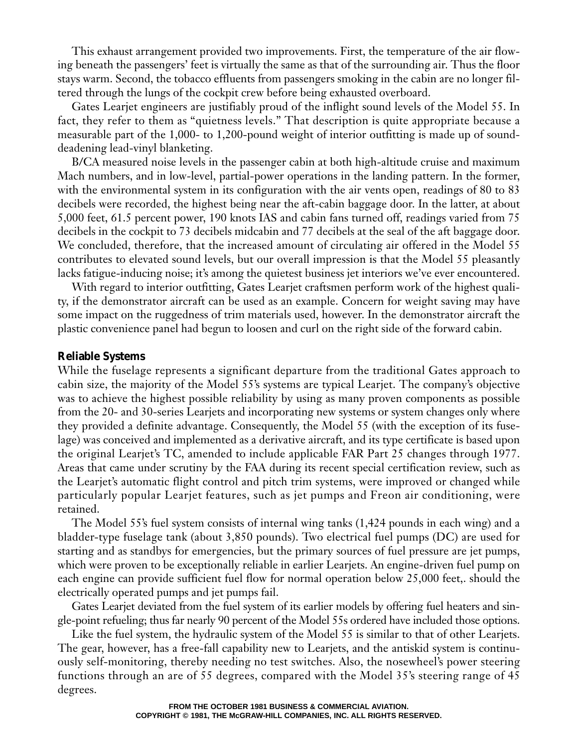This exhaust arrangement provided two improvements. First, the temperature of the air flowing beneath the passengers' feet is virtually the same as that of the surrounding air. Thus the floor stays warm. Second, the tobacco effluents from passengers smoking in the cabin are no longer filtered through the lungs of the cockpit crew before being exhausted overboard.

Gates Learjet engineers are justifiably proud of the inflight sound levels of the Model 55. In fact, they refer to them as "quietness levels." That description is quite appropriate because a measurable part of the 1,000- to 1,200-pound weight of interior outfitting is made up of sounddeadening lead-vinyl blanketing.

B/CA measured noise levels in the passenger cabin at both high-altitude cruise and maximum Mach numbers, and in low-level, partial-power operations in the landing pattern. In the former, with the environmental system in its configuration with the air vents open, readings of 80 to 83 decibels were recorded, the highest being near the aft-cabin baggage door. In the latter, at about 5,000 feet, 61.5 percent power, 190 knots IAS and cabin fans turned off, readings varied from 75 decibels in the cockpit to 73 decibels midcabin and 77 decibels at the seal of the aft baggage door. We concluded, therefore, that the increased amount of circulating air offered in the Model 55 contributes to elevated sound levels, but our overall impression is that the Model 55 pleasantly lacks fatigue-inducing noise; it's among the quietest business jet interiors we've ever encountered.

With regard to interior outfitting, Gates Learjet craftsmen perform work of the highest quality, if the demonstrator aircraft can be used as an example. Concern for weight saving may have some impact on the ruggedness of trim materials used, however. In the demonstrator aircraft the plastic convenience panel had begun to loosen and curl on the right side of the forward cabin.

#### **Reliable Systems**

While the fuselage represents a significant departure from the traditional Gates approach to cabin size, the majority of the Model 55's systems are typical Learjet. The company's objective was to achieve the highest possible reliability by using as many proven components as possible from the 20- and 30-series Learjets and incorporating new systems or system changes only where they provided a definite advantage. Consequently, the Model 55 (with the exception of its fuselage) was conceived and implemented as a derivative aircraft, and its type certificate is based upon the original Learjet's TC, amended to include applicable FAR Part 25 changes through 1977. Areas that came under scrutiny by the FAA during its recent special certification review, such as the Learjet's automatic flight control and pitch trim systems, were improved or changed while particularly popular Learjet features, such as jet pumps and Freon air conditioning, were retained.

The Model 55's fuel system consists of internal wing tanks (1,424 pounds in each wing) and a bladder-type fuselage tank (about 3,850 pounds). Two electrical fuel pumps (DC) are used for starting and as standbys for emergencies, but the primary sources of fuel pressure are jet pumps, which were proven to be exceptionally reliable in earlier Learjets. An engine-driven fuel pump on each engine can provide sufficient fuel flow for normal operation below 25,000 feet,. should the electrically operated pumps and jet pumps fail.

Gates Learjet deviated from the fuel system of its earlier models by offering fuel heaters and single-point refueling; thus far nearly 90 percent of the Model 55s ordered have included those options.

Like the fuel system, the hydraulic system of the Model 55 is similar to that of other Learjets. The gear, however, has a free-fall capability new to Learjets, and the antiskid system is continuously self-monitoring, thereby needing no test switches. Also, the nosewheel's power steering functions through an are of 55 degrees, compared with the Model 35's steering range of 45 degrees.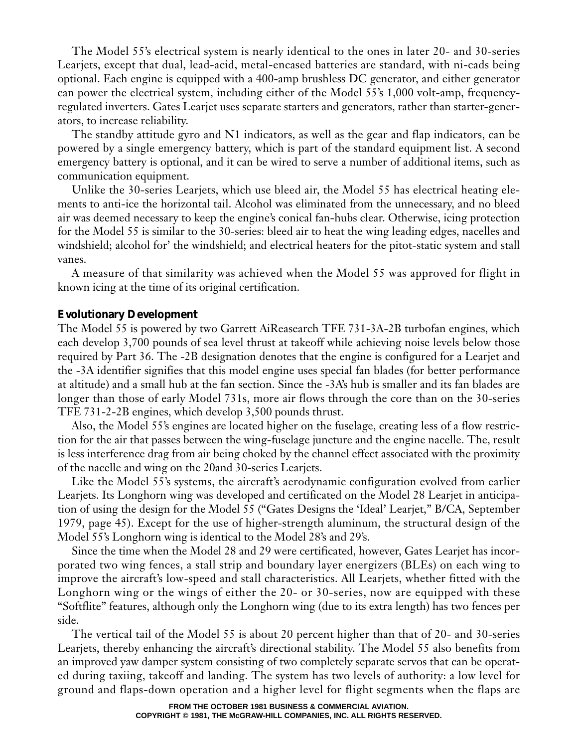The Model 55's electrical system is nearly identical to the ones in later 20- and 30-series Learjets, except that dual, lead-acid, metal-encased batteries are standard, with ni-cads being optional. Each engine is equipped with a 400-amp brushless DC generator, and either generator can power the electrical system, including either of the Model 55's 1,000 volt-amp, frequencyregulated inverters. Gates Learjet uses separate starters and generators, rather than starter-generators, to increase reliability.

The standby attitude gyro and N1 indicators, as well as the gear and flap indicators, can be powered by a single emergency battery, which is part of the standard equipment list. A second emergency battery is optional, and it can be wired to serve a number of additional items, such as communication equipment.

Unlike the 30-series Learjets, which use bleed air, the Model 55 has electrical heating elements to anti-ice the horizontal tail. Alcohol was eliminated from the unnecessary, and no bleed air was deemed necessary to keep the engine's conical fan-hubs clear. Otherwise, icing protection for the Model 55 is similar to the 30-series: bleed air to heat the wing leading edges, nacelles and windshield; alcohol for' the windshield; and electrical heaters for the pitot-static system and stall vanes.

A measure of that similarity was achieved when the Model 55 was approved for flight in known icing at the time of its original certification.

## **Evolutionary Development**

The Model 55 is powered by two Garrett AiReasearch TFE 731-3A-2B turbofan engines, which each develop 3,700 pounds of sea level thrust at takeoff while achieving noise levels below those required by Part 36. The -2B designation denotes that the engine is configured for a Learjet and the -3A identifier signifies that this model engine uses special fan blades (for better performance at altitude) and a small hub at the fan section. Since the -3A's hub is smaller and its fan blades are longer than those of early Model 731s, more air flows through the core than on the 30-series TFE 731-2-2B engines, which develop 3,500 pounds thrust.

Also, the Model 55's engines are located higher on the fuselage, creating less of a flow restriction for the air that passes between the wing-fuselage juncture and the engine nacelle. The, result is less interference drag from air being choked by the channel effect associated with the proximity of the nacelle and wing on the 20and 30-series Learjets.

Like the Model 55's systems, the aircraft's aerodynamic configuration evolved from earlier Learjets. Its Longhorn wing was developed and certificated on the Model 28 Learjet in anticipation of using the design for the Model 55 ("Gates Designs the 'Ideal' Learjet," B/CA, September 1979, page 45). Except for the use of higher-strength aluminum, the structural design of the Model 55's Longhorn wing is identical to the Model 28's and 29's.

Since the time when the Model 28 and 29 were certificated, however, Gates Learjet has incorporated two wing fences, a stall strip and boundary layer energizers (BLEs) on each wing to improve the aircraft's low-speed and stall characteristics. All Learjets, whether fitted with the Longhorn wing or the wings of either the 20- or 30-series, now are equipped with these "Softflite" features, although only the Longhorn wing (due to its extra length) has two fences per side.

The vertical tail of the Model 55 is about 20 percent higher than that of 20- and 30-series Learjets, thereby enhancing the aircraft's directional stability. The Model 55 also benefits from an improved yaw damper system consisting of two completely separate servos that can be operated during taxiing, takeoff and landing. The system has two levels of authority: a low level for ground and flaps-down operation and a higher level for flight segments when the flaps are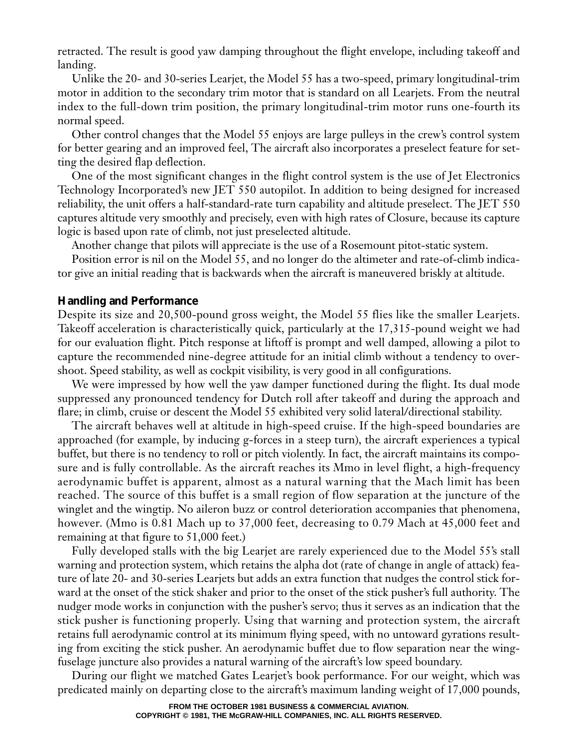retracted. The result is good yaw damping throughout the flight envelope, including takeoff and landing.

Unlike the 20- and 30-series Learjet, the Model 55 has a two-speed, primary longitudinal-trim motor in addition to the secondary trim motor that is standard on all Learjets. From the neutral index to the full-down trim position, the primary longitudinal-trim motor runs one-fourth its normal speed.

Other control changes that the Model 55 enjoys are large pulleys in the crew's control system for better gearing and an improved feel, The aircraft also incorporates a preselect feature for setting the desired flap deflection.

One of the most significant changes in the flight control system is the use of Jet Electronics Technology Incorporated's new JET 550 autopilot. In addition to being designed for increased reliability, the unit offers a half-standard-rate turn capability and altitude preselect. The JET 550 captures altitude very smoothly and precisely, even with high rates of Closure, because its capture logic is based upon rate of climb, not just preselected altitude.

Another change that pilots will appreciate is the use of a Rosemount pitot-static system.

Position error is nil on the Model 55, and no longer do the altimeter and rate-of-climb indicator give an initial reading that is backwards when the aircraft is maneuvered briskly at altitude.

## **Handling and Performance**

Despite its size and 20,500-pound gross weight, the Model 55 flies like the smaller Learjets. Takeoff acceleration is characteristically quick, particularly at the 17,315-pound weight we had for our evaluation flight. Pitch response at liftoff is prompt and well damped, allowing a pilot to capture the recommended nine-degree attitude for an initial climb without a tendency to overshoot. Speed stability, as well as cockpit visibility, is very good in all configurations.

We were impressed by how well the yaw damper functioned during the flight. Its dual mode suppressed any pronounced tendency for Dutch roll after takeoff and during the approach and flare; in climb, cruise or descent the Model 55 exhibited very solid lateral/directional stability.

The aircraft behaves well at altitude in high-speed cruise. If the high-speed boundaries are approached (for example, by inducing g-forces in a steep turn), the aircraft experiences a typical buffet, but there is no tendency to roll or pitch violently. In fact, the aircraft maintains its composure and is fully controllable. As the aircraft reaches its Mmo in level flight, a high-frequency aerodynamic buffet is apparent, almost as a natural warning that the Mach limit has been reached. The source of this buffet is a small region of flow separation at the juncture of the winglet and the wingtip. No aileron buzz or control deterioration accompanies that phenomena, however. (Mmo is 0.81 Mach up to 37,000 feet, decreasing to 0.79 Mach at 45,000 feet and remaining at that figure to 51,000 feet.)

Fully developed stalls with the big Learjet are rarely experienced due to the Model 55's stall warning and protection system, which retains the alpha dot (rate of change in angle of attack) feature of late 20- and 30-series Learjets but adds an extra function that nudges the control stick forward at the onset of the stick shaker and prior to the onset of the stick pusher's full authority. The nudger mode works in conjunction with the pusher's servo; thus it serves as an indication that the stick pusher is functioning properly. Using that warning and protection system, the aircraft retains full aerodynamic control at its minimum flying speed, with no untoward gyrations resulting from exciting the stick pusher. An aerodynamic buffet due to flow separation near the wingfuselage juncture also provides a natural warning of the aircraft's low speed boundary.

During our flight we matched Gates Learjet's book performance. For our weight, which was predicated mainly on departing close to the aircraft's maximum landing weight of 17,000 pounds,